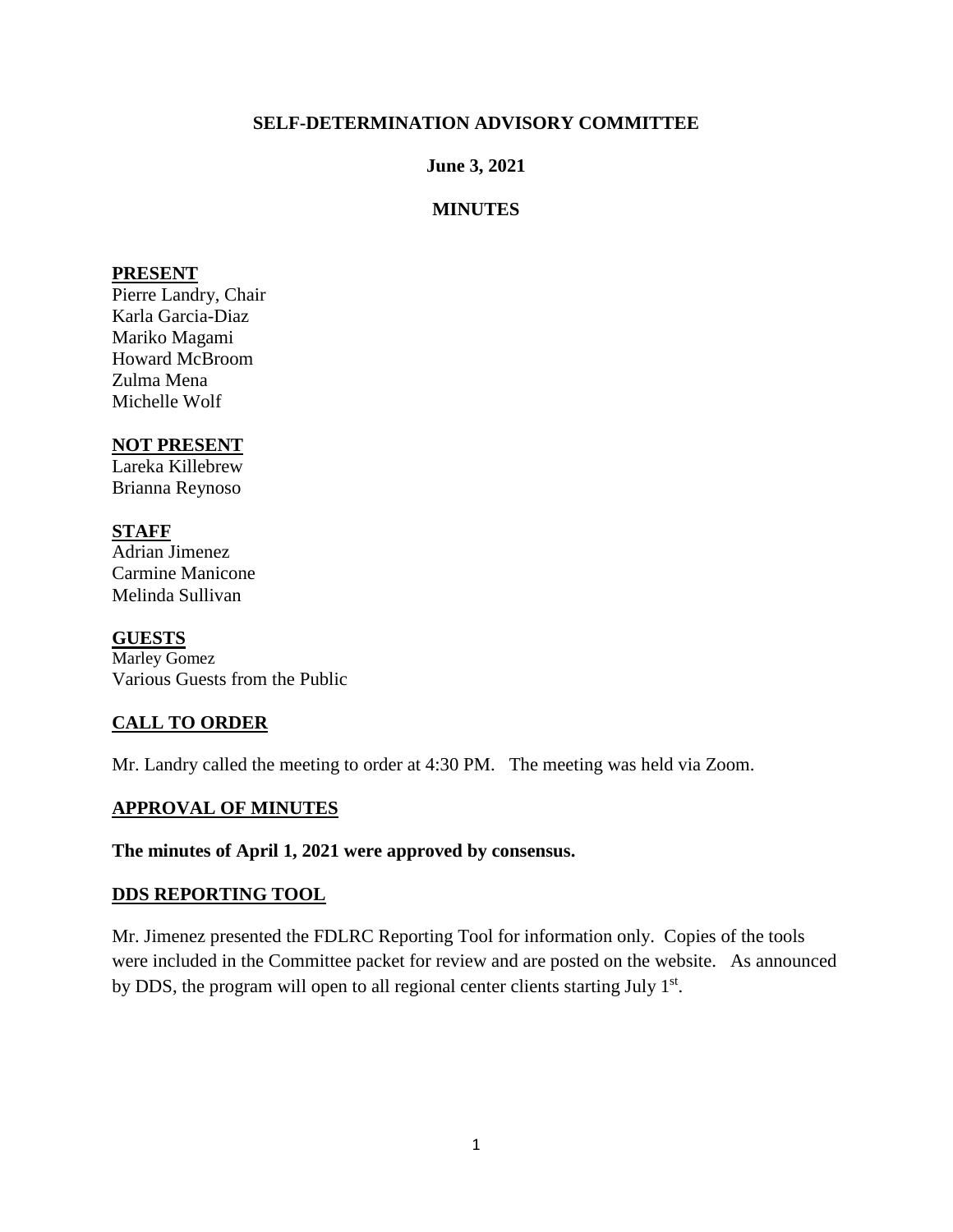## **SELF-DETERMINATION ADVISORY COMMITTEE**

## **June 3, 2021**

## **MINUTES**

### **PRESENT**

Pierre Landry, Chair Karla Garcia-Diaz Mariko Magami Howard McBroom Zulma Mena Michelle Wolf

### **NOT PRESENT**

Lareka Killebrew Brianna Reynoso

### **STAFF**

Adrian Jimenez Carmine Manicone Melinda Sullivan

### **GUESTS**

Marley Gomez Various Guests from the Public

# **CALL TO ORDER**

Mr. Landry called the meeting to order at 4:30 PM. The meeting was held via Zoom.

### **APPROVAL OF MINUTES**

#### **The minutes of April 1, 2021 were approved by consensus.**

#### **DDS REPORTING TOOL**

Mr. Jimenez presented the FDLRC Reporting Tool for information only. Copies of the tools were included in the Committee packet for review and are posted on the website. As announced by DDS, the program will open to all regional center clients starting July 1<sup>st</sup>.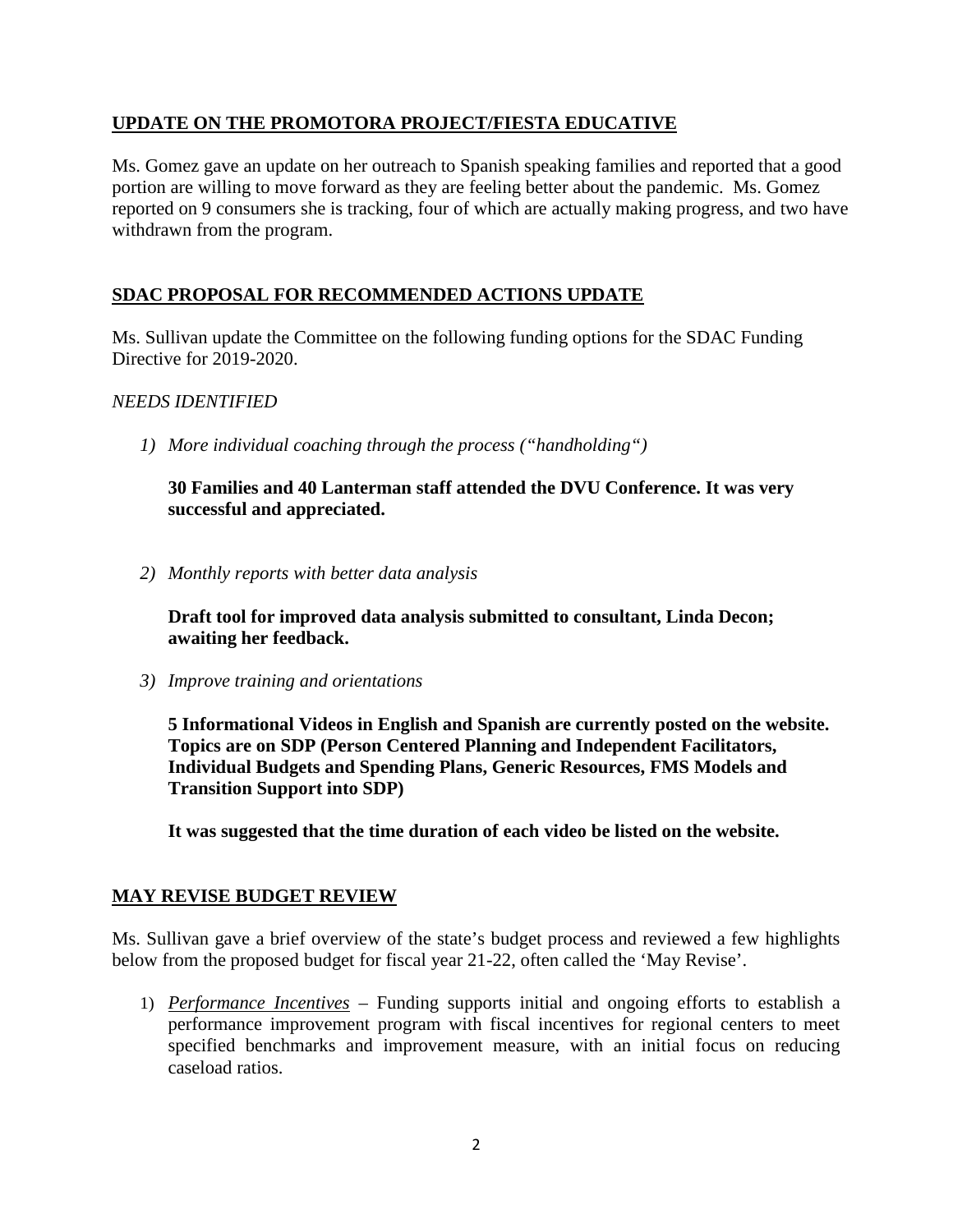# **UPDATE ON THE PROMOTORA PROJECT/FIESTA EDUCATIVE**

Ms. Gomez gave an update on her outreach to Spanish speaking families and reported that a good portion are willing to move forward as they are feeling better about the pandemic. Ms. Gomez reported on 9 consumers she is tracking, four of which are actually making progress, and two have withdrawn from the program.

# **SDAC PROPOSAL FOR RECOMMENDED ACTIONS UPDATE**

Ms. Sullivan update the Committee on the following funding options for the SDAC Funding Directive for 2019-2020.

## *NEEDS IDENTIFIED*

*1) More individual coaching through the process ("handholding")*

**30 Families and 40 Lanterman staff attended the DVU Conference. It was very successful and appreciated.** 

*2) Monthly reports with better data analysis*

**Draft tool for improved data analysis submitted to consultant, Linda Decon; awaiting her feedback.** 

*3) Improve training and orientations*

**5 Informational Videos in English and Spanish are currently posted on the website. Topics are on SDP (Person Centered Planning and Independent Facilitators, Individual Budgets and Spending Plans, Generic Resources, FMS Models and Transition Support into SDP)** 

**It was suggested that the time duration of each video be listed on the website.**

### **MAY REVISE BUDGET REVIEW**

Ms. Sullivan gave a brief overview of the state's budget process and reviewed a few highlights below from the proposed budget for fiscal year 21-22, often called the 'May Revise'.

1) *Performance Incentives* – Funding supports initial and ongoing efforts to establish a performance improvement program with fiscal incentives for regional centers to meet specified benchmarks and improvement measure, with an initial focus on reducing caseload ratios.